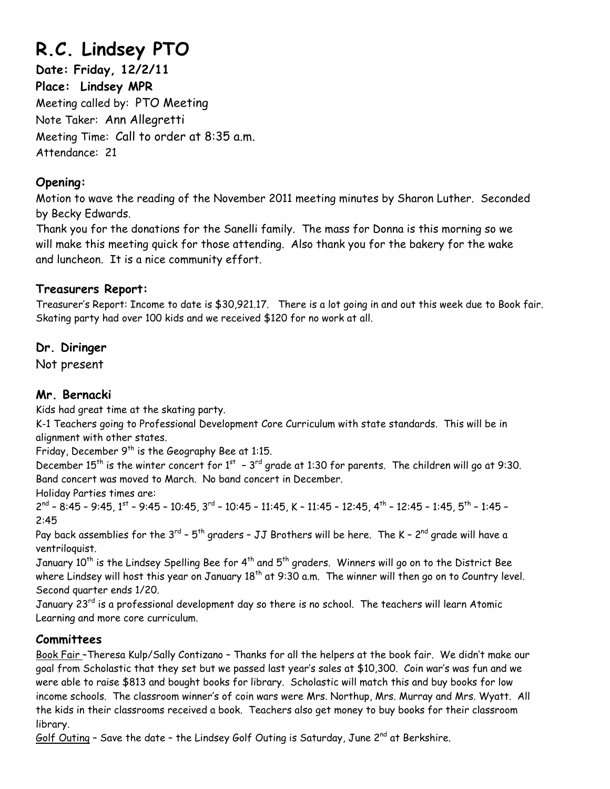# **R.C. Lindsey PTO**

**Date: Friday, 12/2/11 Place: Lindsey MPR**  Meeting called by: PTO Meeting Note Taker: Ann Allegretti Meeting Time: Call to order at 8:35 a.m. Attendance: 21

# **Opening:**

Motion to wave the reading of the November 2011 meeting minutes by Sharon Luther. Seconded by Becky Edwards.

Thank you for the donations for the Sanelli family. The mass for Donna is this morning so we will make this meeting quick for those attending. Also thank you for the bakery for the wake and luncheon. It is a nice community effort.

# **Treasurers Report:**

Treasurer's Report: Income to date is \$30,921.17. There is a lot going in and out this week due to Book fair. Skating party had over 100 kids and we received \$120 for no work at all.

# **Dr. Diringer**

Not present

## **Mr. Bernacki**

Kids had great time at the skating party.

K-1 Teachers going to Professional Development Core Curriculum with state standards. This will be in alignment with other states.

Friday, December  $9<sup>th</sup>$  is the Geography Bee at 1:15.

December 15<sup>th</sup> is the winter concert for  $1^{st}$  - 3<sup>rd</sup> grade at 1:30 for parents. The children will go at 9:30. Band concert was moved to March. No band concert in December.

Holiday Parties times are:

 $2^{nd}$  –  $8:45$  – 9:45, 1<sup>st</sup> – 9:45 – 10:45, 3<sup>rd</sup> – 10:45 – 11:45, K – 11:45 – 12:45, 4<sup>th</sup> – 12:45 – 1:45, 5<sup>th</sup> – 1:45 – 2:45

Pay back assemblies for the  $3^{rd}$  –  $5^{th}$  graders – JJ Brothers will be here. The K –  $2^{nd}$  grade will have a ventriloquist.

January 10<sup>th</sup> is the Lindsey Spelling Bee for 4<sup>th</sup> and 5<sup>th</sup> graders. Winners will go on to the District Bee where Lindsey will host this year on January  $18<sup>th</sup>$  at 9:30 a.m. The winner will then go on to Country level. Second quarter ends 1/20.

January 23<sup>rd</sup> is a professional development day so there is no school. The teachers will learn Atomic Learning and more core curriculum.

# **Committees**

Book Fair –Theresa Kulp/Sally Contizano – Thanks for all the helpers at the book fair. We didn't make our goal from Scholastic that they set but we passed last year's sales at \$10,300. Coin war's was fun and we were able to raise \$813 and bought books for library. Scholastic will match this and buy books for low income schools. The classroom winner's of coin wars were Mrs. Northup, Mrs. Murray and Mrs. Wyatt. All the kids in their classrooms received a book. Teachers also get money to buy books for their classroom library.

Golf Outing - Save the date - the Lindsey Golf Outing is Saturday, June 2<sup>nd</sup> at Berkshire.